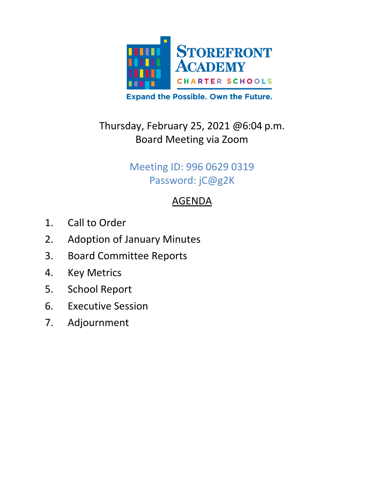

# Thursday, February 25, 2021 @6:04 p.m. Board Meeting via Zoom

### Meeting ID: 996 0629 0319 Password: jC@g2K

## AGENDA

- 1. Call to Order
- 2. Adoption of January Minutes
- 3. Board Committee Reports
- 4. Key Metrics
- 5. School Report
- 6. Executive Session
- 7. Adjournment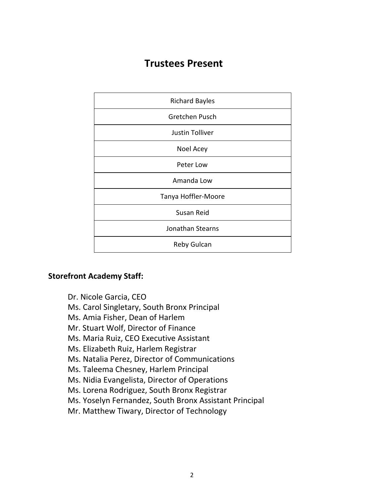### **Trustees Present**

| <b>Richard Bayles</b>  |
|------------------------|
| Gretchen Pusch         |
| <b>Justin Tolliver</b> |
| Noel Acey              |
| Peter Low              |
| Amanda Low             |
| Tanya Hoffler-Moore    |
| Susan Reid             |
| Jonathan Stearns       |
| Reby Gulcan            |

#### **Storefront Academy Staff:**

- Dr. Nicole Garcia, CEO
- Ms. Carol Singletary, South Bronx Principal
- Ms. Amia Fisher, Dean of Harlem
- Mr. Stuart Wolf, Director of Finance
- Ms. Maria Ruiz, CEO Executive Assistant
- Ms. Elizabeth Ruiz, Harlem Registrar
- Ms. Natalia Perez, Director of Communications
- Ms. Taleema Chesney, Harlem Principal
- Ms. Nidia Evangelista, Director of Operations
- Ms. Lorena Rodriguez, South Bronx Registrar
- Ms. Yoselyn Fernandez, South Bronx Assistant Principal
- Mr. Matthew Tiwary, Director of Technology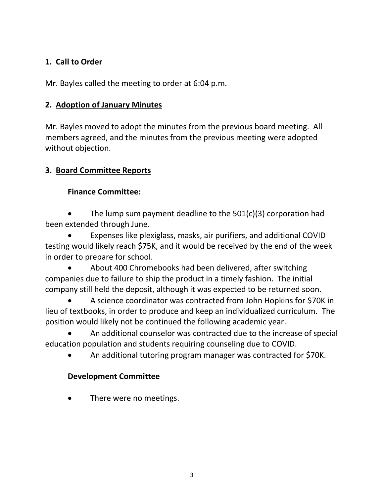#### **1. Call to Order**

Mr. Bayles called the meeting to order at 6:04 p.m.

#### **2. Adoption of January Minutes**

Mr. Bayles moved to adopt the minutes from the previous board meeting. All members agreed, and the minutes from the previous meeting were adopted without objection.

#### **3. Board Committee Reports**

#### **Finance Committee:**

The lump sum payment deadline to the  $501(c)(3)$  corporation had been extended through June.

• Expenses like plexiglass, masks, air purifiers, and additional COVID testing would likely reach \$75K, and it would be received by the end of the week in order to prepare for school.

• About 400 Chromebooks had been delivered, after switching companies due to failure to ship the product in a timely fashion. The initial company still held the deposit, although it was expected to be returned soon.

• A science coordinator was contracted from John Hopkins for \$70K in lieu of textbooks, in order to produce and keep an individualized curriculum. The position would likely not be continued the following academic year.

• An additional counselor was contracted due to the increase of special education population and students requiring counseling due to COVID.

• An additional tutoring program manager was contracted for \$70K.

#### **Development Committee**

There were no meetings.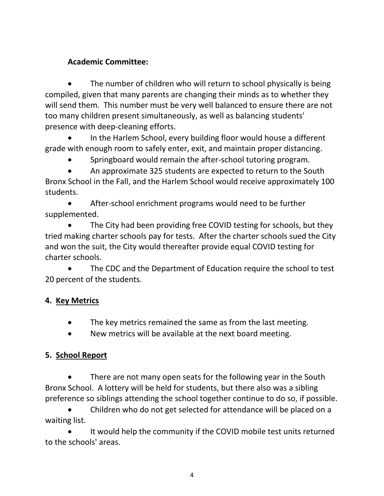#### **Academic Committee:**

• The number of children who will return to school physically is being compiled, given that many parents are changing their minds as to whether they will send them. This number must be very well balanced to ensure there are not too many children present simultaneously, as well as balancing students' presence with deep-cleaning efforts.

• In the Harlem School, every building floor would house a different grade with enough room to safely enter, exit, and maintain proper distancing.

• Springboard would remain the after-school tutoring program.

• An approximate 325 students are expected to return to the South Bronx School in the Fall, and the Harlem School would receive approximately 100 students.

• After-school enrichment programs would need to be further supplemented.

The City had been providing free COVID testing for schools, but they tried making charter schools pay for tests. After the charter schools sued the City and won the suit, the City would thereafter provide equal COVID testing for charter schools.

• The CDC and the Department of Education require the school to test 20 percent of the students.

#### **4. Key Metrics**

- The key metrics remained the same as from the last meeting.
- New metrics will be available at the next board meeting.

#### **5. School Report**

There are not many open seats for the following year in the South Bronx School. A lottery will be held for students, but there also was a sibling preference so siblings attending the school together continue to do so, if possible.

• Children who do not get selected for attendance will be placed on a waiting list.

It would help the community if the COVID mobile test units returned to the schools' areas.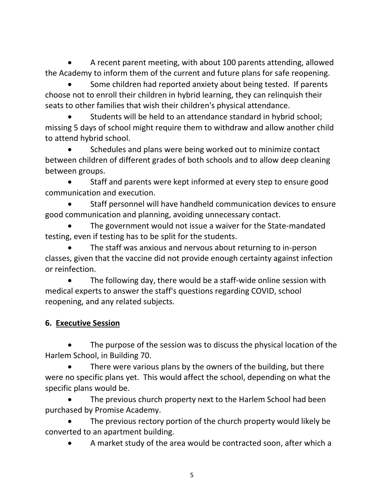• A recent parent meeting, with about 100 parents attending, allowed the Academy to inform them of the current and future plans for safe reopening.

Some children had reported anxiety about being tested. If parents choose not to enroll their children in hybrid learning, they can relinquish their seats to other families that wish their children's physical attendance.

Students will be held to an attendance standard in hybrid school; missing 5 days of school might require them to withdraw and allow another child to attend hybrid school.

• Schedules and plans were being worked out to minimize contact between children of different grades of both schools and to allow deep cleaning between groups.

Staff and parents were kept informed at every step to ensure good communication and execution.

• Staff personnel will have handheld communication devices to ensure good communication and planning, avoiding unnecessary contact.

The government would not issue a waiver for the State-mandated testing, even if testing has to be split for the students.

The staff was anxious and nervous about returning to in-person classes, given that the vaccine did not provide enough certainty against infection or reinfection.

The following day, there would be a staff-wide online session with medical experts to answer the staff's questions regarding COVID, school reopening, and any related subjects.

#### **6. Executive Session**

The purpose of the session was to discuss the physical location of the Harlem School, in Building 70.

There were various plans by the owners of the building, but there were no specific plans yet. This would affect the school, depending on what the specific plans would be.

The previous church property next to the Harlem School had been purchased by Promise Academy.

The previous rectory portion of the church property would likely be converted to an apartment building.

• A market study of the area would be contracted soon, after which a